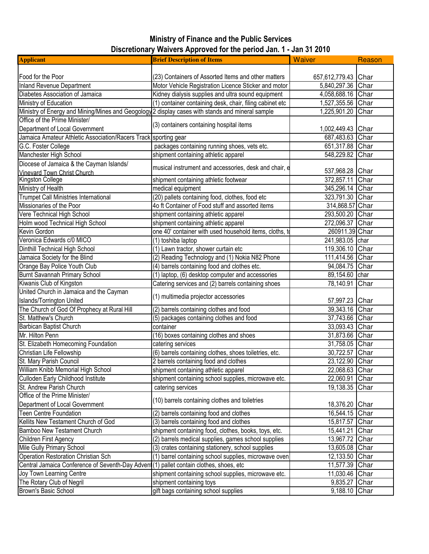## Ministry of Finance and the Public Services Discretionary Waivers Approved for the period Jan. 1 - Jan 31 2010

| <b>Applicant</b>                                                                                 | <b>Brief Description of Items</b>                        | <b>Waiver</b>     | Reason |
|--------------------------------------------------------------------------------------------------|----------------------------------------------------------|-------------------|--------|
|                                                                                                  |                                                          |                   |        |
| Food for the Poor                                                                                | (23) Containers of Assorted Items and other matters      | 657,612,779.43    | Char   |
| Inland Revenue Department                                                                        | Motor Vehicle Registration Licence Sticker and motor     | 5,840,297.36      | Char   |
| Diabetes Association of Jamaica                                                                  | Kidney dialysis supplies and ultra sound equipment       | 4,058,688.16      | Char   |
| Ministry of Education                                                                            | (1) container containing desk, chair, filing cabinet etc | 1,527,355.56      | Char   |
| Ministry of Energy and Mining/Mines and Geogology 2 display cases with stands and mineral sample |                                                          | 1,225,901.20      | Char   |
| Office of the Prime Minister/                                                                    |                                                          |                   |        |
| Department of Local Government                                                                   | (3) containers containing hospital items                 | 1,002,449.43 Char |        |
| Jamaica Amateur Athletic Association/Racers Track                                                | sporting gear                                            | 687,483.63 Char   |        |
| G.C. Foster College                                                                              | packages containing running shoes, vets etc.             | 651,317.88 Char   |        |
| Manchester High School                                                                           | shipment containing athletic apparel                     | 548,229.82 Char   |        |
| Diocese of Jamaica & the Cayman Islands/                                                         |                                                          |                   |        |
| Vinevard Town Christ Church                                                                      | musical instrument and accessories, desk and chair, e    | 537,968.28 Char   |        |
| Kingston College                                                                                 | shipment containing athletic footwear                    | 372,857.11 Char   |        |
| Ministry of Health                                                                               | medical equipment                                        | 345,296.14 Char   |        |
| <b>Trumpet Call Ministries International</b>                                                     | (20) pallets containing food, clothes, food etc          | 323,791.30 Char   |        |
| Missionaries of the Poor                                                                         | 4o ft Container of Food stuff and assorted items         | 314,868.57 Char   |        |
| Vere Technical High School                                                                       | shipment containing athletic apparel                     | 293,500.20 Char   |        |
| Holm wood Technical High School                                                                  | shipment containing athletic apparel                     | 272,096.37 Char   |        |
| Kevin Gordon                                                                                     | one 40' container with used household items, cloths, to  | 260911.39 Char    |        |
| Veronica Edwards c/0 MICO                                                                        | (1) toshiba laptop                                       | 241,983.05 char   |        |
| Dinthill Technical High School                                                                   | (1) Lawn tractor, shower curtain etc                     | 119,306.10 Char   |        |
| Jamaica Society for the Blind                                                                    | (2) Reading Technology and (1) Nokia N82 Phone           | 111,414.56 Char   |        |
| Orange Bay Police Youth Club                                                                     | (4) barrels containing food and clothes etc.             | 94,084.75 Char    |        |
| <b>Burnt Savannah Primary School</b>                                                             | (1) laptop, (6) desktop computer and accessories         | 89,154.60 char    |        |
| Kiwanis Club of Kingston                                                                         | Catering services and (2) barrels containing shoes       | 78,140.91 Char    |        |
| United Church in Jamaica and the Cayman                                                          |                                                          |                   |        |
| <b>Islands/Torrington United</b>                                                                 | (1) multimedia projector accessories                     | 57,997.23 Char    |        |
| The Church of God Of Prophecy at Rural Hill                                                      | (2) barrels containing clothes and food                  | 39,343.16 Char    |        |
| St. Matthew's Church                                                                             | (5) packages containing clothes and food                 | 37,743.66 Char    |        |
| Barbican Baptist Church                                                                          | container                                                | 33,093.43 Char    |        |
| Mr. Hilton Penn                                                                                  | (16) boxes containing clothes and shoes                  | 31,873.66 Char    |        |
| St. Elizabeth Homecoming Foundation                                                              | catering services                                        | 31,758.05 Char    |        |
| Christian Life Fellowship                                                                        | (6) barrels containing clothes, shoes toiletries, etc.   | 30,722.57 Char    |        |
| St. Mary Parish Council                                                                          | 2 barrels containing food and clothes                    | 23,122.90 Char    |        |
| William Knibb Memorial High School                                                               | shipment containing athletic apparel                     | 22,068.63 Char    |        |
| Culloden Early Childhood Institute                                                               | shipment containing school supplies, microwave etc.      | 22,060.91 Char    |        |
| St. Andrew Parish Church                                                                         | catering services                                        | 19,138.35 Char    |        |
| Office of the Prime Minister/                                                                    |                                                          |                   |        |
| Department of Local Government                                                                   | (10) barrels containing clothes and toiletries           | 18,376.20 Char    |        |
| <b>Teen Centre Foundation</b>                                                                    | (2) barrels containing food and clothes                  | 16,544.15 Char    |        |
| Kellits New Testament Church of God                                                              | (3) barrels containing food and clothes                  | 15,817.57 Char    |        |
| Bamboo New Testament Church                                                                      | shipment containing food, clothes, books, toys, etc.     | 15,441.21         | Char   |
| Children First Agency                                                                            | (2) barrels medical supplies, games school supplies      | 13,967.72         | Char   |
| Mile Gully Primary School                                                                        | (3) crates containing stationery, school supplies        | 13,605.08         | Char   |
| Operation Restoration Christian Sch                                                              | (1) barrel containing school supplies, microwave oven    | 12,133.50         | Char   |
| Central Jamaica Conference of Seventh-Day Advent(1) pallet contain clothes, shoes, etc           |                                                          | 11,577.39         | Char   |
| Joy Town Learning Centre                                                                         | shipment containing school supplies, microwave etc.      | 11,030.46         | Char   |
| The Rotary Club of Negril                                                                        | shipment containing toys                                 | 9,835.27 Char     |        |
| Brown's Basic School                                                                             | gift bags containing school supplies                     | 9,188.10 Char     |        |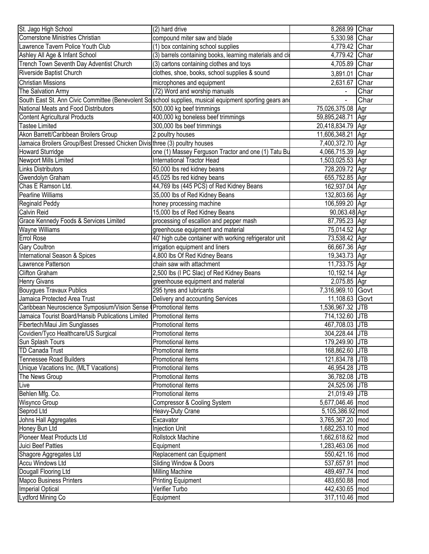| St. Jago High School                                                       | (2) hard drive                                                                                          | 8,268.99 Char     |      |
|----------------------------------------------------------------------------|---------------------------------------------------------------------------------------------------------|-------------------|------|
| Cornerstone Ministries Christian                                           | compound miter saw and blade                                                                            | 5,330.98 Char     |      |
| Lawrence Tavern Police Youth Club                                          | (1) box containing school supplies                                                                      | 4,779.42 Char     |      |
| Ashley All Age & Infant School                                             | (3) barrels containing books, learning materials and clo                                                | 4,779.42 Char     |      |
| Trench Town Seventh Day Adventist Church                                   | (3) cartons containing clothes and toys                                                                 | 4,705.89 Char     |      |
| Riverside Baptist Church                                                   | clothes, shoe, books, school supplies & sound                                                           | 3,891.01 Char     |      |
| <b>Christian Missions</b>                                                  | microphones and equipment                                                                               | 2,631.67          | Char |
| The Salvation Army                                                         | (72) Word and worship manuals                                                                           |                   | Char |
|                                                                            | South East St. Ann Civic Committee (Benevolent Solschool supplies, musical equipment sporting gears and |                   | Char |
| National Meats and Food Distributors                                       | 500,000 kg beef trimmings                                                                               | 75,026,375.08     | Agr  |
| <b>Content Agricultural Products</b>                                       | 400,000 kg boneless beef trimmings                                                                      | 59,895,248.71     | Agr  |
| <b>Tastee Limited</b>                                                      | 300,000 lbs beef trimmings                                                                              | 20,418,834.79 Agr |      |
| Akon Barrett/Caribbean Broilers Group                                      | 2 poultry houses                                                                                        | 11,606,348.21 Agr |      |
| Jamaica Broilers Group/Best Dressed Chicken Divis three (3) poultry houses |                                                                                                         | 7,400,372.70 Agr  |      |
| <b>Howard Sturridge</b>                                                    | one (1) Massey Ferguson Tractor and one (1) Tatu Bu                                                     | 4,066,715.39 Agr  |      |
| Newport Mills Limited                                                      | International Tractor Head                                                                              | 1,503,025.53 Agr  |      |
| <b>Links Distributors</b>                                                  | 50,000 lbs red kidney beans                                                                             | 728,209.72 Agr    |      |
| Gwendolyn Graham                                                           | 45,025 lbs red kidney beans                                                                             | 655,752.85 Agr    |      |
| Chas E Ramson Ltd.                                                         | 44,769 lbs (445 PCS) of Red Kidney Beans                                                                | 162,937.04 Agr    |      |
| Pearline Williams                                                          | 35,000 lbs of Red Kidney Beans                                                                          | 132,803.66 Agr    |      |
| Reginald Peddy                                                             | honey processing machine                                                                                | 106,599.20 Agr    |      |
| <b>Calvin Reid</b>                                                         | 15,000 lbs of Red Kidney Beans                                                                          | 90,063.48 Agr     |      |
| Grace Kennedy Foods & Services Limited                                     | processing of escallion and pepper mash                                                                 | 87,795.23 Agr     |      |
| <b>Wayne Williams</b>                                                      | greenhouse equipment and material                                                                       | 75,014.52 Agr     |      |
| <b>Errol Rose</b>                                                          | 40' high cube container with working refrigerator unit                                                  | 73,538.42 Agr     |      |
| <b>Gary Coultron</b>                                                       | irrigation equipment and liners                                                                         | 66,667.36 Agr     |      |
| International Season & Spices                                              | 4,800 lbs Of Red Kidney Beans                                                                           | 19,343.73 Agr     |      |
| Lawrence Patterson                                                         | chain saw with attachment                                                                               | 11,733.75 Agr     |      |
| <b>Clifton Graham</b>                                                      | 2,500 lbs (I PC Slac) of Red Kidney Beans                                                               | 10,192.14 Agr     |      |
| <b>Henry Givans</b>                                                        | greenhouse equipment and material                                                                       | 2,075.85 Agr      |      |
| <b>Bouygues Travaux Publics</b>                                            | 295 tyres and lubricants                                                                                | 7,316,969.10 Govt |      |
| Jamaica Protected Area Trust                                               | Delivery and accounting Services                                                                        | 11,108.63 Govt    |      |
| Caribbean Neuroscience Symposium/Vision Sense (Promotional items           |                                                                                                         | 1,536,967.32 JTB  |      |
| Jamaica Tourist Board/Hansib Publications Limited                          | Promotional items                                                                                       | 714,132.60 JTB    |      |
| Fibertech/Maui Jim Sunglasses                                              | Promotional items                                                                                       | 467,708.03 JTB    |      |
| Covidien/Tyco Healthcare/US Surgical                                       | Promotional items                                                                                       | 304,228.44 JTB    |      |
| Sun Splash Tours                                                           | Promotional items                                                                                       | 179,249.90 JTB    |      |
| <b>TD Canada Trust</b>                                                     | Promotional items                                                                                       | 168,862.60 JTB    |      |
| <b>Tennessee Road Builders</b>                                             | Promotional items                                                                                       | 121,834.78 JTB    |      |
| Unique Vacations Inc. (MLT Vacations)                                      | Promotional items                                                                                       | 46,954.28 JTB     |      |
| The News Group                                                             | Promotional items                                                                                       | 36,782.08 JTB     |      |
| Live                                                                       | Promotional items                                                                                       | 24,525.06 JTB     |      |
| Behlen Mfg. Co.                                                            | Promotional items                                                                                       | 21,019.49 JTB     |      |
| Wisynco Group                                                              | Compressor & Cooling System                                                                             | 5,677,046.46 mod  |      |
| Seprod Ltd                                                                 | Heavy-Duty Crane                                                                                        | 5,105,386.92 mod  |      |
| Johns Hall Aggregates                                                      | Excavator                                                                                               | 3,765,367.20 mod  |      |
| Honey Bun Ltd                                                              | Injection Unit                                                                                          | 1,682,253.10 mod  |      |
| Pioneer Meat Products Ltd                                                  | Rollstock Machine                                                                                       | 1,662,618.62 mod  |      |
| Juici Beef Patties                                                         | Equipment                                                                                               | 1,283,463.06 mod  |      |
| Shagore Aggregates Ltd                                                     | Replacement can Equipment                                                                               | 550,421.16   mod  |      |
| <b>Accu Windows Ltd</b>                                                    | Sliding Window & Doors                                                                                  | 537,657.91 mod    |      |
| Dougall Flooring Ltd                                                       | <b>Milling Machine</b>                                                                                  | 489,497.74 mod    |      |
| <b>Mapco Business Printers</b>                                             | <b>Printing Equipment</b>                                                                               | 483,650.88 mod    |      |
| <b>Imperial Optical</b>                                                    | Verifier Turbo                                                                                          | 442,430.65 mod    |      |
| Lydford Mining Co                                                          | Equipment                                                                                               | 317,110.46 mod    |      |